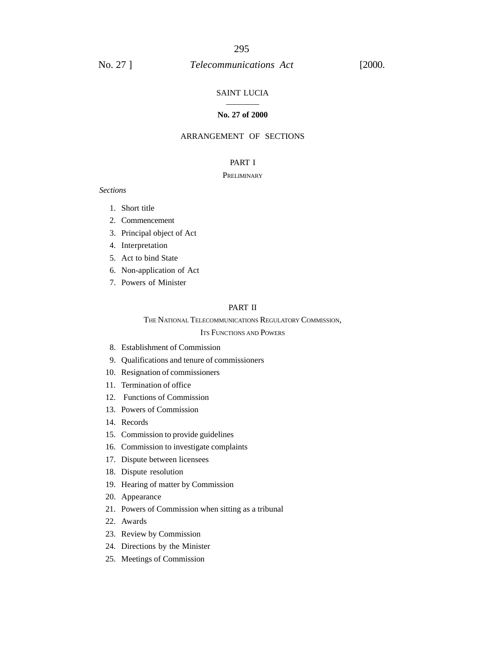#### SAINT LUCIA

#### ———— **No. 27 of 2000**

## ARRANGEMENT OF SECTIONS

## PART I

#### **PRELIMINARY**

#### *Sections*

- 1. Short title
- 2. Commencement
- 3. Principal object of Act
- 4. Interpretation
- 5. Act to bind State
- 6. Non-application of Act
- 7. Powers of Minister

#### PART II

# THE NATIONAL TELECOMMUNICATIONS REGULATORY COMMISSION,

# ITS FUNCTIONS AND POWERS

- 8. Establishment of Commission
- 9. Qualifications and tenure of commissioners
- 10. Resignation of commissioners
- 11. Termination of office
- 12. Functions of Commission
- 13. Powers of Commission
- 14. Records
- 15. Commission to provide guidelines
- 16. Commission to investigate complaints
- 17. Dispute between licensees
- 18. Dispute resolution
- 19. Hearing of matter by Commission
- 20. Appearance
- 21. Powers of Commission when sitting as a tribunal
- 22. Awards
- 23. Review by Commission
- 24. Directions by the Minister
- 25. Meetings of Commission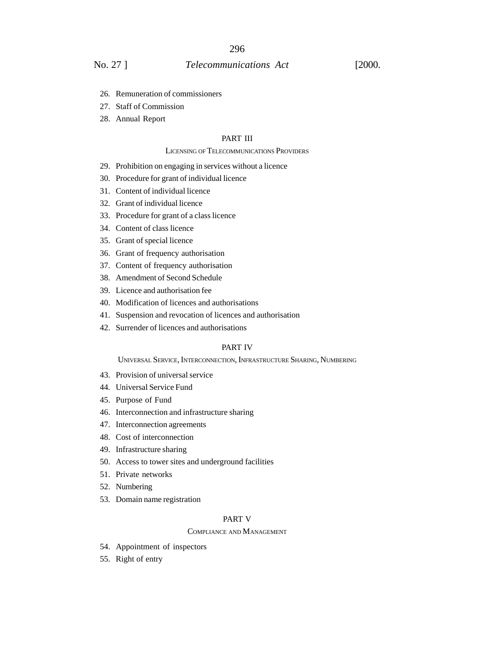## No. 27 ] *Telecommunications Act* [2000.

- 26. Remuneration of commissioners
- 27. Staff of Commission
- 28. Annual Report

## PART III

#### LICENSING OF TELECOMMUNICATIONS PROVIDERS

- 29. Prohibition on engaging in services without a licence
- 30. Procedure for grant of individual licence
- 31. Content of individual licence
- 32. Grant of individual licence
- 33. Procedure for grant of a class licence
- 34. Content of class licence
- 35. Grant of special licence
- 36. Grant of frequency authorisation
- 37. Content of frequency authorisation
- 38. Amendment of Second Schedule
- 39. Licence and authorisation fee
- 40. Modification of licences and authorisations
- 41. Suspension and revocation of licences and authorisation
- 42. Surrender of licences and authorisations

#### PART IV

UNIVERSAL SERVICE, INTERCONNECTION, INFRASTRUCTURE SHARING, NUMBERING

- 43. Provision of universal service
- 44. Universal Service Fund
- 45. Purpose of Fund
- 46. Interconnection and infrastructure sharing
- 47. Interconnection agreements
- 48. Cost of interconnection
- 49. Infrastructure sharing
- 50. Access to tower sites and underground facilities
- 51. Private networks
- 52. Numbering
- 53. Domain name registration

#### PART V

#### COMPLIANCE AND MANAGEMENT

- 54. Appointment of inspectors
- 55. Right of entry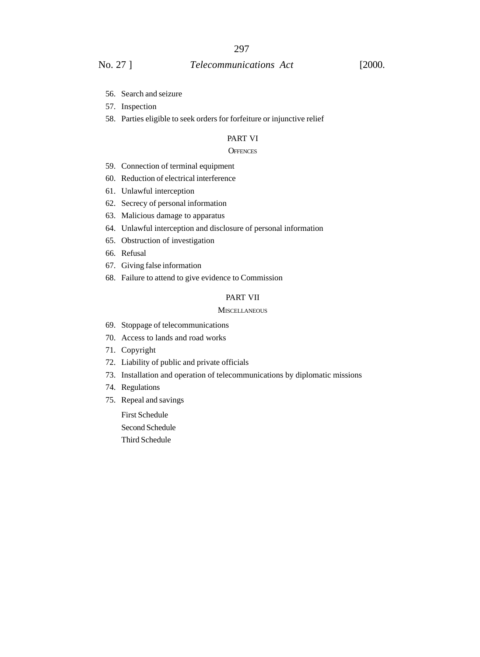# No. 27 ] *Telecommunications Act* [2000.

- 56. Search and seizure
- 57. Inspection
- 58. Parties eligible to seek orders for forfeiture or injunctive relief

## PART VI

#### **OFFENCES**

- 59. Connection of terminal equipment
- 60. Reduction of electrical interference
- 61. Unlawful interception
- 62. Secrecy of personal information
- 63. Malicious damage to apparatus
- 64. Unlawful interception and disclosure of personal information
- 65. Obstruction of investigation
- 66. Refusal
- 67. Giving false information
- 68. Failure to attend to give evidence to Commission

#### PART VII

#### **MISCELLANEOUS**

- 69. Stoppage of telecommunications
- 70. Access to lands and road works
- 71. Copyright
- 72. Liability of public and private officials
- 73. Installation and operation of telecommunications by diplomatic missions
- 74. Regulations
- 75. Repeal and savings

First Schedule Second Schedule Third Schedule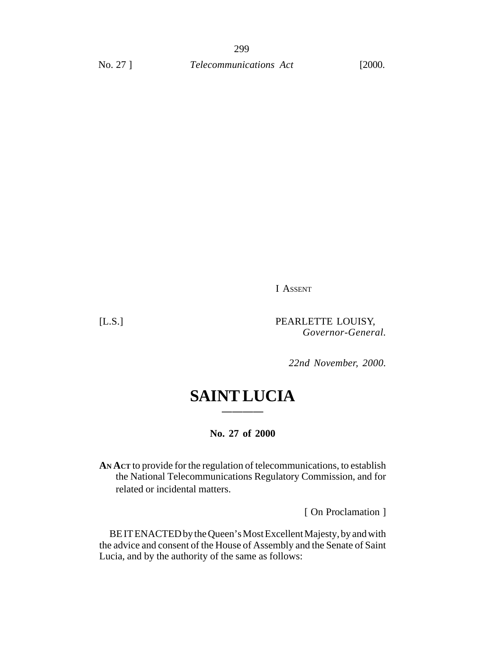I ASSENT

[L.S.] PEARLETTE LOUISY, *Governor-General.*

*22nd November, 2000.*

# **SAINT LUCIA ————**

**No. 27 of 2000**

**AN ACT** to provide for the regulation of telecommunications, to establish the National Telecommunications Regulatory Commission, and for related or incidental matters.

[ On Proclamation ]

BE IT ENACTED by the Queen's Most Excellent Majesty, by and with the advice and consent of the House of Assembly and the Senate of Saint Lucia, and by the authority of the same as follows: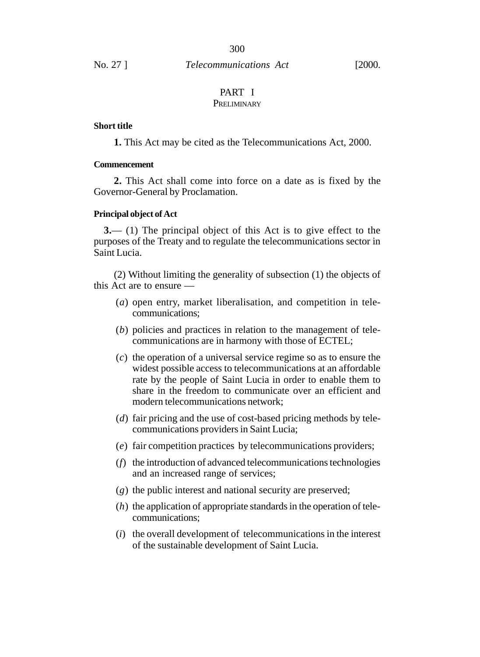#### PART I **PRELIMINARY**

## **Short title**

**1.** This Act may be cited as the Telecommunications Act, 2000.

## **Commencement**

**2.** This Act shall come into force on a date as is fixed by the Governor-General by Proclamation.

#### **Principal object of Act**

**3.**— (1) The principal object of this Act is to give effect to the purposes of the Treaty and to regulate the telecommunications sector in Saint Lucia.

(2) Without limiting the generality of subsection (1) the objects of this Act are to ensure —

- (*a*) open entry, market liberalisation, and competition in telecommunications;
- (*b*) policies and practices in relation to the management of telecommunications are in harmony with those of ECTEL;
- (*c*) the operation of a universal service regime so as to ensure the widest possible access to telecommunications at an affordable rate by the people of Saint Lucia in order to enable them to share in the freedom to communicate over an efficient and modern telecommunications network;
- (*d*) fair pricing and the use of cost-based pricing methods by telecommunications providers in Saint Lucia;
- (*e*) fair competition practices by telecommunications providers;
- (*f*) the introduction of advanced telecommunications technologies and an increased range of services;
- (*g*) the public interest and national security are preserved;
- (*h*) the application of appropriate standards in the operation of telecommunications;
- (*i*) the overall development of telecommunications in the interest of the sustainable development of Saint Lucia.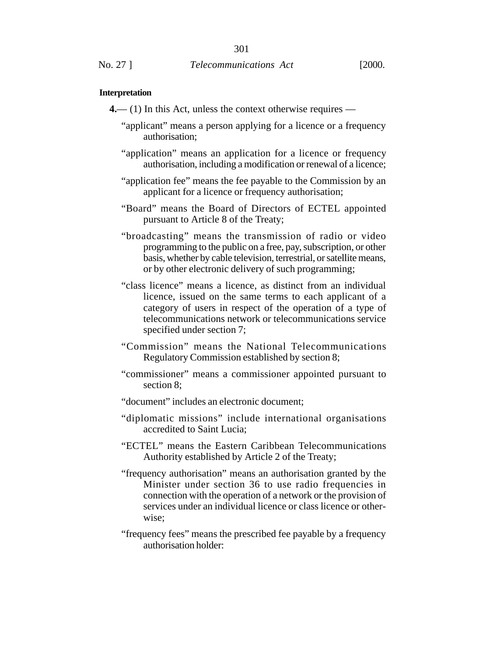#### **Interpretation**

- **4.** (1) In this Act, unless the context otherwise requires
	- "applicant" means a person applying for a licence or a frequency authorisation;
	- "application" means an application for a licence or frequency authorisation, including a modification or renewal of a licence;
	- "application fee" means the fee payable to the Commission by an applicant for a licence or frequency authorisation;
	- "Board" means the Board of Directors of ECTEL appointed pursuant to Article 8 of the Treaty;
	- "broadcasting" means the transmission of radio or video programming to the public on a free, pay, subscription, or other basis, whether by cable television, terrestrial, or satellite means, or by other electronic delivery of such programming;
	- "class licence" means a licence, as distinct from an individual licence, issued on the same terms to each applicant of a category of users in respect of the operation of a type of telecommunications network or telecommunications service specified under section 7;
	- "Commission" means the National Telecommunications Regulatory Commission established by section 8;
	- "commissioner" means a commissioner appointed pursuant to section 8;
	- "document" includes an electronic document;
	- "diplomatic missions" include international organisations accredited to Saint Lucia;
	- "ECTEL" means the Eastern Caribbean Telecommunications Authority established by Article 2 of the Treaty;
	- "frequency authorisation" means an authorisation granted by the Minister under section 36 to use radio frequencies in connection with the operation of a network or the provision of services under an individual licence or class licence or otherwise;
	- "frequency fees" means the prescribed fee payable by a frequency authorisation holder: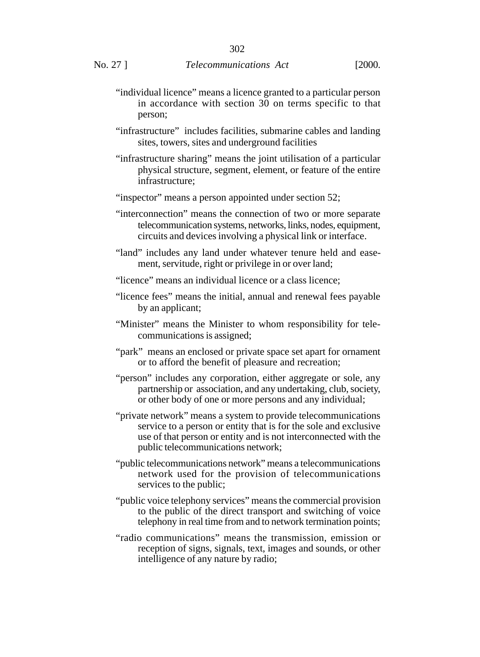- "individual licence" means a licence granted to a particular person in accordance with section 30 on terms specific to that person;
- "infrastructure" includes facilities, submarine cables and landing sites, towers, sites and underground facilities
- "infrastructure sharing" means the joint utilisation of a particular physical structure, segment, element, or feature of the entire infrastructure;
- "inspector" means a person appointed under section 52;
- "interconnection" means the connection of two or more separate telecommunication systems, networks, links, nodes, equipment, circuits and devices involving a physical link or interface.
- "land" includes any land under whatever tenure held and easement, servitude, right or privilege in or over land;
- "licence" means an individual licence or a class licence;
- "licence fees" means the initial, annual and renewal fees payable by an applicant;
- "Minister" means the Minister to whom responsibility for telecommunications is assigned;
- "park" means an enclosed or private space set apart for ornament or to afford the benefit of pleasure and recreation;
- "person" includes any corporation, either aggregate or sole, any partnership or association, and any undertaking, club, society, or other body of one or more persons and any individual;
- "private network" means a system to provide telecommunications service to a person or entity that is for the sole and exclusive use of that person or entity and is not interconnected with the public telecommunications network;
- "public telecommunications network" means a telecommunications network used for the provision of telecommunications services to the public;
- "public voice telephony services" means the commercial provision to the public of the direct transport and switching of voice telephony in real time from and to network termination points;
- "radio communications" means the transmission, emission or reception of signs, signals, text, images and sounds, or other intelligence of any nature by radio;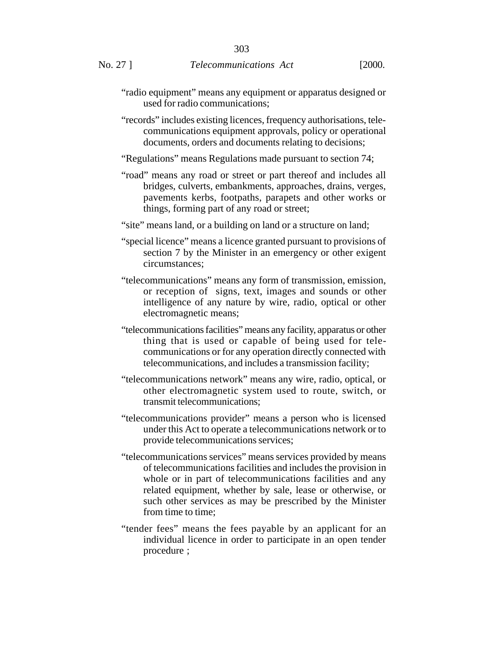- "radio equipment" means any equipment or apparatus designed or used for radio communications;
- "records" includes existing licences, frequency authorisations, telecommunications equipment approvals, policy or operational documents, orders and documents relating to decisions;
- "Regulations" means Regulations made pursuant to section 74;
- "road" means any road or street or part thereof and includes all bridges, culverts, embankments, approaches, drains, verges, pavements kerbs, footpaths, parapets and other works or things, forming part of any road or street;
- "site" means land, or a building on land or a structure on land;
- "special licence" means a licence granted pursuant to provisions of section 7 by the Minister in an emergency or other exigent circumstances;
- "telecommunications" means any form of transmission, emission, or reception of signs, text, images and sounds or other intelligence of any nature by wire, radio, optical or other electromagnetic means;
- "telecommunications facilities" means any facility, apparatus or other thing that is used or capable of being used for telecommunications or for any operation directly connected with telecommunications, and includes a transmission facility;
- "telecommunications network" means any wire, radio, optical, or other electromagnetic system used to route, switch, or transmit telecommunications;
- "telecommunications provider" means a person who is licensed under this Act to operate a telecommunications network or to provide telecommunications services;
- "telecommunications services" means services provided by means of telecommunications facilities and includes the provision in whole or in part of telecommunications facilities and any related equipment, whether by sale, lease or otherwise, or such other services as may be prescribed by the Minister from time to time;
- "tender fees" means the fees payable by an applicant for an individual licence in order to participate in an open tender procedure ;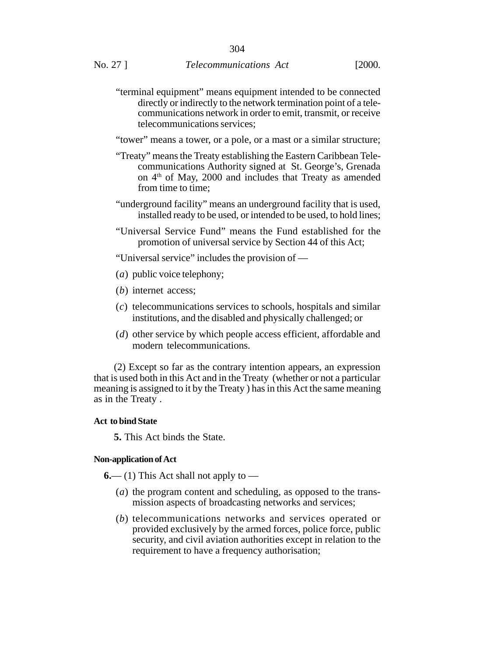- "terminal equipment" means equipment intended to be connected directly or indirectly to the network termination point of a telecommunications network in order to emit, transmit, or receive telecommunications services;
- "tower" means a tower, or a pole, or a mast or a similar structure;
- "Treaty" means the Treaty establishing the Eastern Caribbean Telecommunications Authority signed at St. George's, Grenada on 4<sup>th</sup> of May, 2000 and includes that Treaty as amended from time to time;
- "underground facility" means an underground facility that is used, installed ready to be used, or intended to be used, to hold lines;
- "Universal Service Fund" means the Fund established for the promotion of universal service by Section 44 of this Act;

"Universal service" includes the provision of —

- (*a*) public voice telephony;
- (*b*) internet access;
- (*c*) telecommunications services to schools, hospitals and similar institutions, and the disabled and physically challenged; or
- (*d*) other service by which people access efficient, affordable and modern telecommunications.

(2) Except so far as the contrary intention appears, an expression that is used both in this Act and in the Treaty (whether or not a particular meaning is assigned to it by the Treaty ) has in this Act the same meaning as in the Treaty .

#### **Act to bind State**

**5.** This Act binds the State.

#### **Non-application of Act**

 $6$ — (1) This Act shall not apply to —

- (*a*) the program content and scheduling, as opposed to the transmission aspects of broadcasting networks and services;
- (*b*) telecommunications networks and services operated or provided exclusively by the armed forces, police force, public security, and civil aviation authorities except in relation to the requirement to have a frequency authorisation;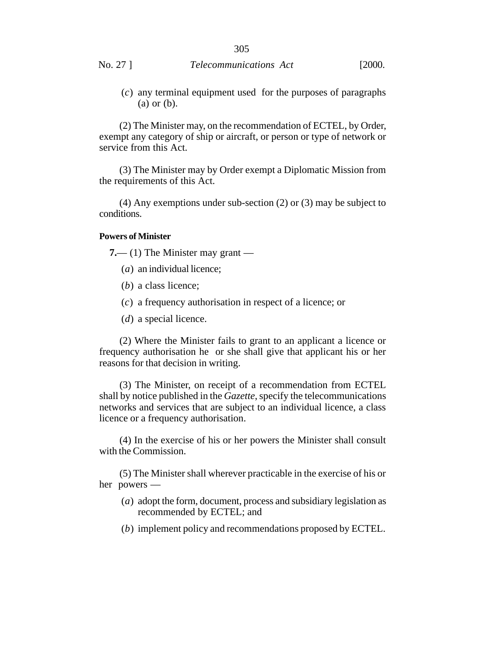(*c*) any terminal equipment used for the purposes of paragraphs (a) or (b).

(2) The Minister may, on the recommendation of ECTEL, by Order, exempt any category of ship or aircraft, or person or type of network or service from this Act.

(3) The Minister may by Order exempt a Diplomatic Mission from the requirements of this Act.

(4) Any exemptions under sub-section (2) or (3) may be subject to conditions.

#### **Powers of Minister**

**7.**— (1) The Minister may grant —

- (*a*) an individual licence;
- (*b*) a class licence;
- (*c*) a frequency authorisation in respect of a licence; or
- (*d*) a special licence.

(2) Where the Minister fails to grant to an applicant a licence or frequency authorisation he or she shall give that applicant his or her reasons for that decision in writing.

(3) The Minister, on receipt of a recommendation from ECTEL shall by notice published in the *Gazette*, specify the telecommunications networks and services that are subject to an individual licence, a class licence or a frequency authorisation.

(4) In the exercise of his or her powers the Minister shall consult with the Commission.

(5) The Minister shall wherever practicable in the exercise of his or her powers —

- (*a*) adopt the form, document, process and subsidiary legislation as recommended by ECTEL; and
- (*b*) implement policy and recommendations proposed by ECTEL.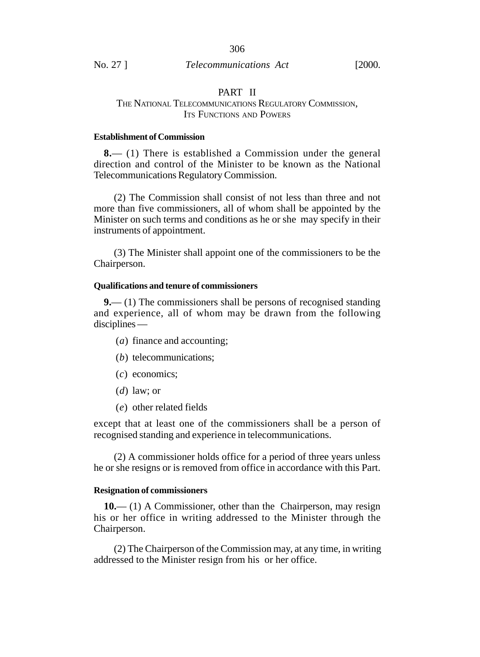## PART II

## THE NATIONAL TELECOMMUNICATIONS REGULATORY COMMISSION, ITS FUNCTIONS AND POWERS

## **Establishment of Commission**

**8.**— (1) There is established a Commission under the general direction and control of the Minister to be known as the National Telecommunications Regulatory Commission.

(2) The Commission shall consist of not less than three and not more than five commissioners, all of whom shall be appointed by the Minister on such terms and conditions as he or she may specify in their instruments of appointment.

(3) The Minister shall appoint one of the commissioners to be the Chairperson.

#### **Qualifications and tenure of commissioners**

**9.**— (1) The commissioners shall be persons of recognised standing and experience, all of whom may be drawn from the following disciplines —

- (*a*) finance and accounting;
- (*b*) telecommunications;
- (*c*) economics;
- (*d*) law; or
- (*e*) other related fields

except that at least one of the commissioners shall be a person of recognised standing and experience in telecommunications.

(2) A commissioner holds office for a period of three years unless he or she resigns or is removed from office in accordance with this Part.

## **Resignation of commissioners**

**10.**— (1) A Commissioner, other than the Chairperson, may resign his or her office in writing addressed to the Minister through the Chairperson.

(2) The Chairperson of the Commission may, at any time, in writing addressed to the Minister resign from his or her office.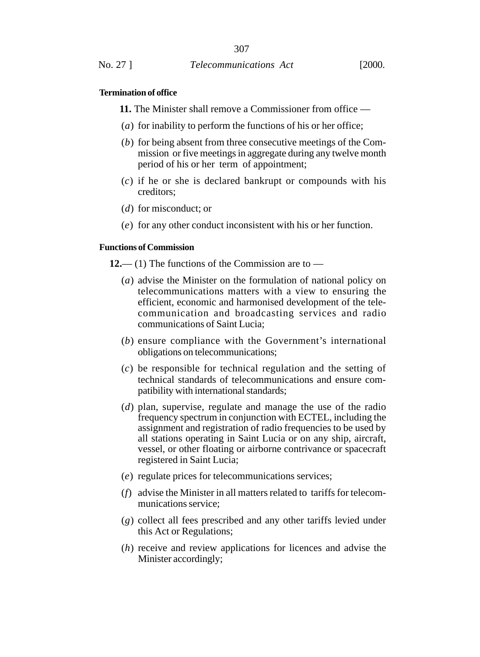#### **Termination of office**

**11.** The Minister shall remove a Commissioner from office —

- (*a*) for inability to perform the functions of his or her office;
- (*b*) for being absent from three consecutive meetings of the Commission or five meetings in aggregate during any twelve month period of his or her term of appointment;
- (*c*) if he or she is declared bankrupt or compounds with his creditors;
- (*d*) for misconduct; or
- (*e*) for any other conduct inconsistent with his or her function.

#### **Functions of Commission**

**12.**— (1) The functions of the Commission are to —

- (*a*) advise the Minister on the formulation of national policy on telecommunications matters with a view to ensuring the efficient, economic and harmonised development of the telecommunication and broadcasting services and radio communications of Saint Lucia;
- (*b*) ensure compliance with the Government's international obligations on telecommunications;
- (*c*) be responsible for technical regulation and the setting of technical standards of telecommunications and ensure compatibility with international standards;
- (*d*) plan, supervise, regulate and manage the use of the radio frequency spectrum in conjunction with ECTEL, including the assignment and registration of radio frequencies to be used by all stations operating in Saint Lucia or on any ship, aircraft, vessel, or other floating or airborne contrivance or spacecraft registered in Saint Lucia;
- (*e*) regulate prices for telecommunications services;
- (*f*) advise the Minister in all matters related to tariffs for telecommunications service;
- (*g*) collect all fees prescribed and any other tariffs levied under this Act or Regulations;
- (*h*) receive and review applications for licences and advise the Minister accordingly;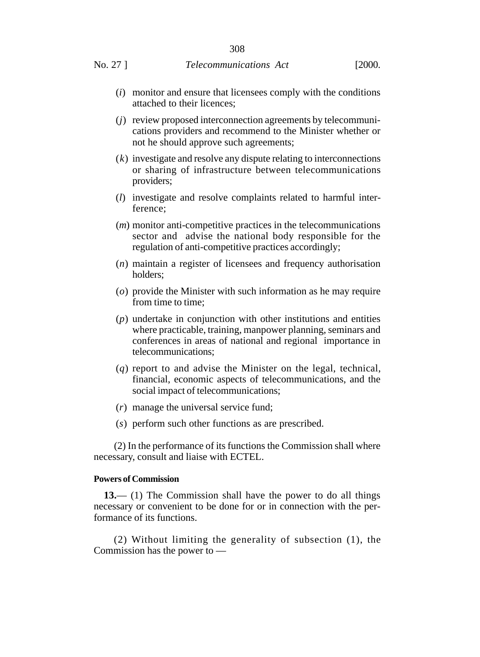- (*i*) monitor and ensure that licensees comply with the conditions attached to their licences;
- (*j*) review proposed interconnection agreements by telecommunications providers and recommend to the Minister whether or not he should approve such agreements;
- (*k*) investigate and resolve any dispute relating to interconnections or sharing of infrastructure between telecommunications providers;
- (*l*) investigate and resolve complaints related to harmful interference;
- (*m*) monitor anti-competitive practices in the telecommunications sector and advise the national body responsible for the regulation of anti-competitive practices accordingly;
- (*n*) maintain a register of licensees and frequency authorisation holders;
- (*o*) provide the Minister with such information as he may require from time to time;
- (*p*) undertake in conjunction with other institutions and entities where practicable, training, manpower planning, seminars and conferences in areas of national and regional importance in telecommunications;
- (*q*) report to and advise the Minister on the legal, technical, financial, economic aspects of telecommunications, and the social impact of telecommunications;
- (*r*) manage the universal service fund;
- (*s*) perform such other functions as are prescribed.

(2) In the performance of its functions the Commission shall where necessary, consult and liaise with ECTEL.

#### **Powers of Commission**

**13.**— (1) The Commission shall have the power to do all things necessary or convenient to be done for or in connection with the performance of its functions.

(2) Without limiting the generality of subsection (1), the Commission has the power to —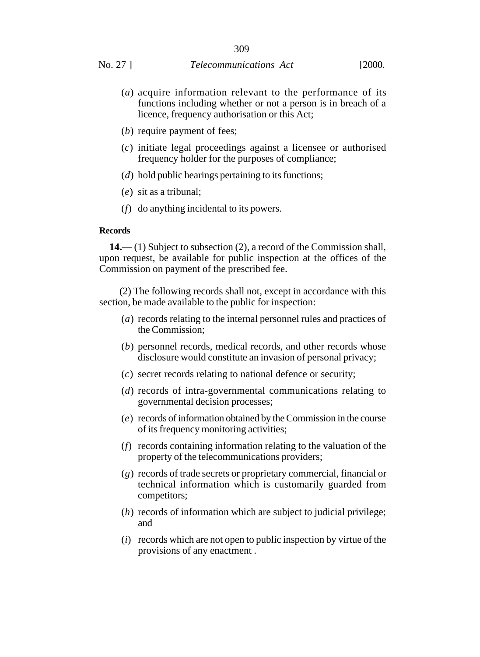- (*a*) acquire information relevant to the performance of its functions including whether or not a person is in breach of a licence, frequency authorisation or this Act;
- (*b*) require payment of fees;
- (*c*) initiate legal proceedings against a licensee or authorised frequency holder for the purposes of compliance;
- (*d*) hold public hearings pertaining to its functions;
- (*e*) sit as a tribunal;
- (*f*) do anything incidental to its powers.

#### **Records**

**14.**— (1) Subject to subsection (2), a record of the Commission shall, upon request, be available for public inspection at the offices of the Commission on payment of the prescribed fee.

(2) The following records shall not, except in accordance with this section, be made available to the public for inspection:

- (*a*) records relating to the internal personnel rules and practices of the Commission;
- (*b*) personnel records, medical records, and other records whose disclosure would constitute an invasion of personal privacy;
- (*c*) secret records relating to national defence or security;
- (*d*) records of intra-governmental communications relating to governmental decision processes;
- (*e*) records of information obtained by the Commission in the course of its frequency monitoring activities;
- (*f*) records containing information relating to the valuation of the property of the telecommunications providers;
- (*g*) records of trade secrets or proprietary commercial, financial or technical information which is customarily guarded from competitors;
- (*h*) records of information which are subject to judicial privilege; and
- (*i*) records which are not open to public inspection by virtue of the provisions of any enactment .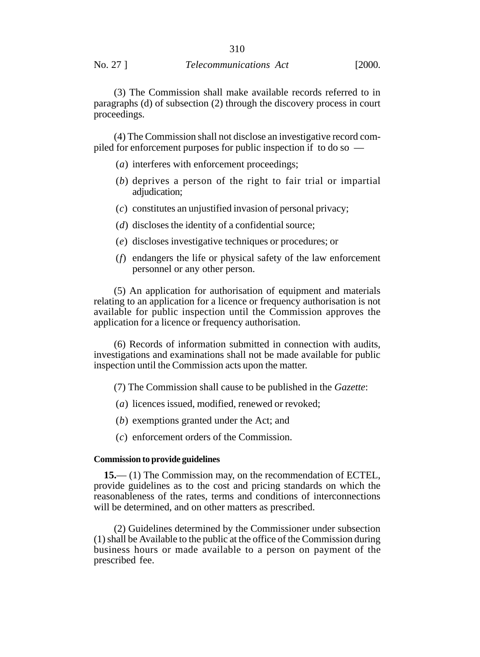#### No. 27 ] *Telecommunications Act* [2000.

(3) The Commission shall make available records referred to in paragraphs (d) of subsection (2) through the discovery process in court proceedings.

(4) The Commission shall not disclose an investigative record compiled for enforcement purposes for public inspection if to do so —

- (*a*) interferes with enforcement proceedings;
- (*b*) deprives a person of the right to fair trial or impartial adjudication;
- (*c*) constitutes an unjustified invasion of personal privacy;
- (*d*) discloses the identity of a confidential source;
- (*e*) discloses investigative techniques or procedures; or
- (*f*) endangers the life or physical safety of the law enforcement personnel or any other person.

(5) An application for authorisation of equipment and materials relating to an application for a licence or frequency authorisation is not available for public inspection until the Commission approves the application for a licence or frequency authorisation.

(6) Records of information submitted in connection with audits, investigations and examinations shall not be made available for public inspection until the Commission acts upon the matter.

(7) The Commission shall cause to be published in the *Gazette*:

- (*a*) licences issued, modified, renewed or revoked;
- (*b*) exemptions granted under the Act; and
- (*c*) enforcement orders of the Commission.

#### **Commission to provide guidelines**

**15.**— (1) The Commission may, on the recommendation of ECTEL, provide guidelines as to the cost and pricing standards on which the reasonableness of the rates, terms and conditions of interconnections will be determined, and on other matters as prescribed.

(2) Guidelines determined by the Commissioner under subsection (1) shall be Available to the public at the office of the Commission during business hours or made available to a person on payment of the prescribed fee.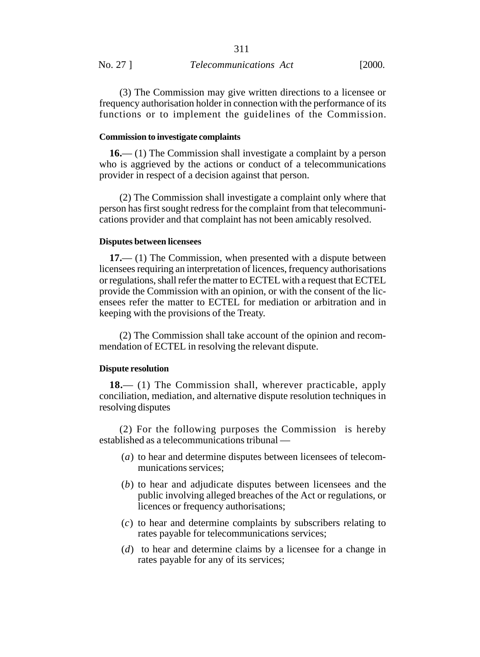|          | 311                           |        |
|----------|-------------------------------|--------|
| No. 27 ] | <i>Telecommunications Act</i> | [2000. |

(3) The Commission may give written directions to a licensee or frequency authorisation holder in connection with the performance of its functions or to implement the guidelines of the Commission.

#### **Commission to investigate complaints**

**16.**— (1) The Commission shall investigate a complaint by a person who is aggrieved by the actions or conduct of a telecommunications provider in respect of a decision against that person.

(2) The Commission shall investigate a complaint only where that person has first sought redress for the complaint from that telecommunications provider and that complaint has not been amicably resolved.

#### **Disputes between licensees**

**17.**— (1) The Commission, when presented with a dispute between licensees requiring an interpretation of licences, frequency authorisations or regulations, shall refer the matter to ECTEL with a request that ECTEL provide the Commission with an opinion, or with the consent of the licensees refer the matter to ECTEL for mediation or arbitration and in keeping with the provisions of the Treaty.

(2) The Commission shall take account of the opinion and recommendation of ECTEL in resolving the relevant dispute.

## **Dispute resolution**

**18.**— (1) The Commission shall, wherever practicable, apply conciliation, mediation, and alternative dispute resolution techniques in resolving disputes

(2) For the following purposes the Commission is hereby established as a telecommunications tribunal —

- (*a*) to hear and determine disputes between licensees of telecommunications services;
- (*b*) to hear and adjudicate disputes between licensees and the public involving alleged breaches of the Act or regulations, or licences or frequency authorisations;
- (*c*) to hear and determine complaints by subscribers relating to rates payable for telecommunications services;
- (*d*) to hear and determine claims by a licensee for a change in rates payable for any of its services;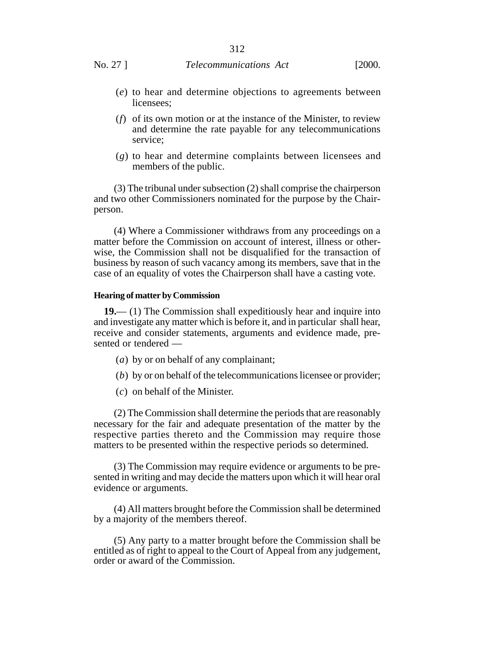- (*e*) to hear and determine objections to agreements between licensees;
- (*f*) of its own motion or at the instance of the Minister, to review and determine the rate payable for any telecommunications service;
- (*g*) to hear and determine complaints between licensees and members of the public.

(3) The tribunal under subsection (2) shall comprise the chairperson and two other Commissioners nominated for the purpose by the Chairperson.

(4) Where a Commissioner withdraws from any proceedings on a matter before the Commission on account of interest, illness or otherwise, the Commission shall not be disqualified for the transaction of business by reason of such vacancy among its members, save that in the case of an equality of votes the Chairperson shall have a casting vote.

#### **Hearing of matter by Commission**

**19.**— (1) The Commission shall expeditiously hear and inquire into and investigate any matter which is before it, and in particular shall hear, receive and consider statements, arguments and evidence made, presented or tendered —

- (*a*) by or on behalf of any complainant;
- (*b*) by or on behalf of the telecommunications licensee or provider;
- (*c*) on behalf of the Minister.

(2) The Commission shall determine the periods that are reasonably necessary for the fair and adequate presentation of the matter by the respective parties thereto and the Commission may require those matters to be presented within the respective periods so determined.

(3) The Commission may require evidence or arguments to be presented in writing and may decide the matters upon which it will hear oral evidence or arguments.

(4) All matters brought before the Commission shall be determined by a majority of the members thereof.

(5) Any party to a matter brought before the Commission shall be entitled as of right to appeal to the Court of Appeal from any judgement, order or award of the Commission.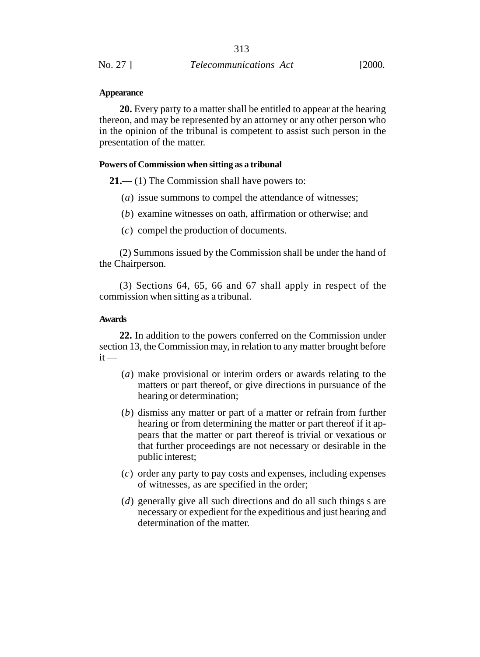#### **Appearance**

**20.** Every party to a matter shall be entitled to appear at the hearing thereon, and may be represented by an attorney or any other person who in the opinion of the tribunal is competent to assist such person in the presentation of the matter.

#### **Powers of Commission when sitting as a tribunal**

**21.**— (1) The Commission shall have powers to:

- (*a*) issue summons to compel the attendance of witnesses;
- (*b*) examine witnesses on oath, affirmation or otherwise; and
- (*c*) compel the production of documents.

(2) Summons issued by the Commission shall be under the hand of the Chairperson.

(3) Sections 64, 65, 66 and 67 shall apply in respect of the commission when sitting as a tribunal.

## **Awards**

**22.** In addition to the powers conferred on the Commission under section 13, the Commission may, in relation to any matter brought before  $it -$ 

- (*a*) make provisional or interim orders or awards relating to the matters or part thereof, or give directions in pursuance of the hearing or determination;
- (*b*) dismiss any matter or part of a matter or refrain from further hearing or from determining the matter or part thereof if it appears that the matter or part thereof is trivial or vexatious or that further proceedings are not necessary or desirable in the public interest;
- (*c*) order any party to pay costs and expenses, including expenses of witnesses, as are specified in the order;
- (*d*) generally give all such directions and do all such things s are necessary or expedient for the expeditious and just hearing and determination of the matter.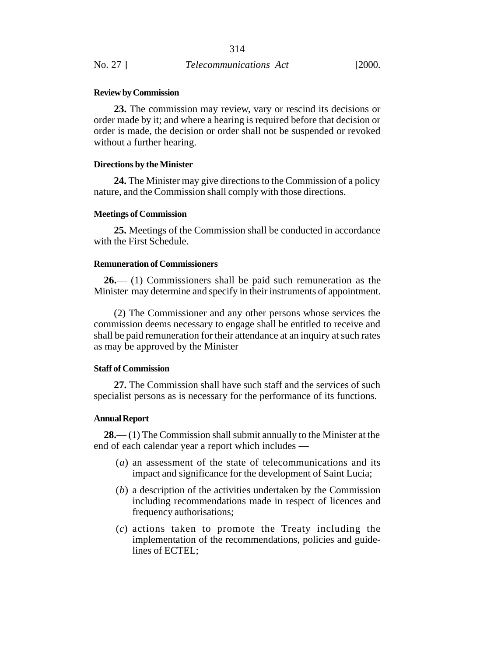#### **Review by Commission**

**23.** The commission may review, vary or rescind its decisions or order made by it; and where a hearing is required before that decision or order is made, the decision or order shall not be suspended or revoked without a further hearing.

#### **Directions by the Minister**

**24.** The Minister may give directions to the Commission of a policy nature, and the Commission shall comply with those directions.

#### **Meetings of Commission**

**25.** Meetings of the Commission shall be conducted in accordance with the First Schedule.

## **Remuneration of Commissioners**

**26.**— (1) Commissioners shall be paid such remuneration as the Minister may determine and specify in their instruments of appointment.

(2) The Commissioner and any other persons whose services the commission deems necessary to engage shall be entitled to receive and shall be paid remuneration for their attendance at an inquiry at such rates as may be approved by the Minister

### **Staff of Commission**

**27.** The Commission shall have such staff and the services of such specialist persons as is necessary for the performance of its functions.

#### **Annual Report**

**28.**— (1) The Commission shall submit annually to the Minister at the end of each calendar year a report which includes —

- (*a*) an assessment of the state of telecommunications and its impact and significance for the development of Saint Lucia;
- (*b*) a description of the activities undertaken by the Commission including recommendations made in respect of licences and frequency authorisations;
- (*c*) actions taken to promote the Treaty including the implementation of the recommendations, policies and guidelines of ECTEL;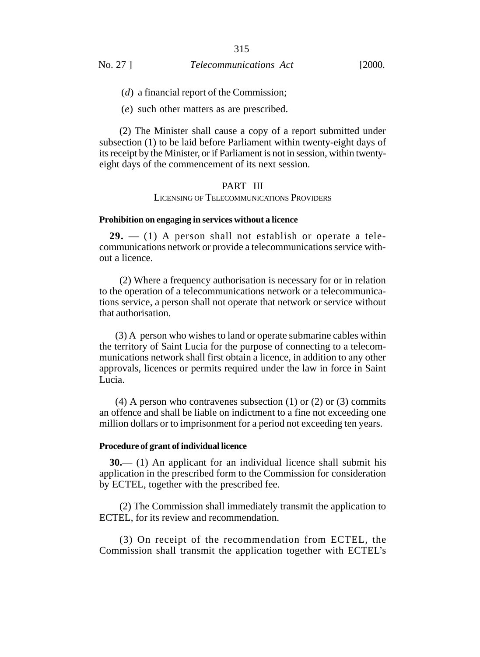(*d*) a financial report of the Commission;

(*e*) such other matters as are prescribed.

(2) The Minister shall cause a copy of a report submitted under subsection (1) to be laid before Parliament within twenty-eight days of its receipt by the Minister, or if Parliament is not in session, within twentyeight days of the commencement of its next session.

# PART III

LICENSING OF TELECOMMUNICATIONS PROVIDERS

#### **Prohibition on engaging in services without a licence**

**29.** — (1) A person shall not establish or operate a telecommunications network or provide a telecommunications service without a licence.

(2) Where a frequency authorisation is necessary for or in relation to the operation of a telecommunications network or a telecommunications service, a person shall not operate that network or service without that authorisation.

 (3) A person who wishes to land or operate submarine cables within the territory of Saint Lucia for the purpose of connecting to a telecommunications network shall first obtain a licence, in addition to any other approvals, licences or permits required under the law in force in Saint Lucia.

 $(4)$  A person who contravenes subsection  $(1)$  or  $(2)$  or  $(3)$  commits an offence and shall be liable on indictment to a fine not exceeding one million dollars or to imprisonment for a period not exceeding ten years.

#### **Procedure of grant of individual licence**

**30.**— (1) An applicant for an individual licence shall submit his application in the prescribed form to the Commission for consideration by ECTEL, together with the prescribed fee.

(2) The Commission shall immediately transmit the application to ECTEL, for its review and recommendation.

(3) On receipt of the recommendation from ECTEL, the Commission shall transmit the application together with ECTEL's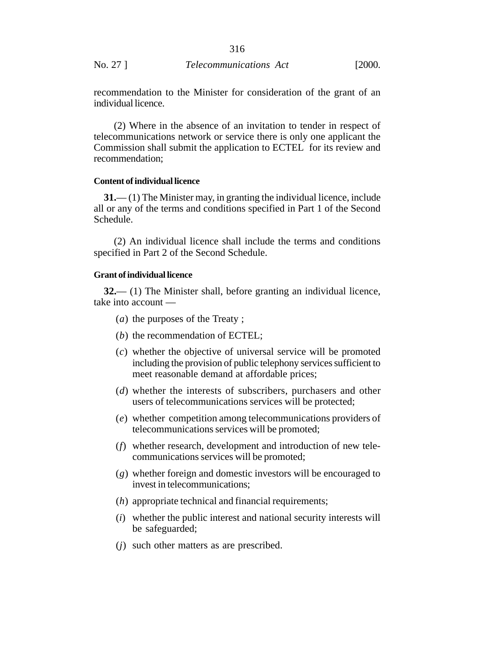recommendation to the Minister for consideration of the grant of an individual licence.

(2) Where in the absence of an invitation to tender in respect of telecommunications network or service there is only one applicant the Commission shall submit the application to ECTEL for its review and recommendation;

#### **Content of individual licence**

**31.**— (1) The Minister may, in granting the individual licence, include all or any of the terms and conditions specified in Part 1 of the Second Schedule.

(2) An individual licence shall include the terms and conditions specified in Part 2 of the Second Schedule.

## **Grant of individual licence**

**32.**— (1) The Minister shall, before granting an individual licence, take into account —

- (*a*) the purposes of the Treaty ;
- (*b*) the recommendation of ECTEL;
- (*c*) whether the objective of universal service will be promoted including the provision of public telephony services sufficient to meet reasonable demand at affordable prices;
- (*d*) whether the interests of subscribers, purchasers and other users of telecommunications services will be protected;
- (*e*) whether competition among telecommunications providers of telecommunications services will be promoted;
- (*f*) whether research, development and introduction of new telecommunications services will be promoted;
- (*g*) whether foreign and domestic investors will be encouraged to invest in telecommunications;
- (*h*) appropriate technical and financial requirements;
- (*i*) whether the public interest and national security interests will be safeguarded;
- (*j*) such other matters as are prescribed.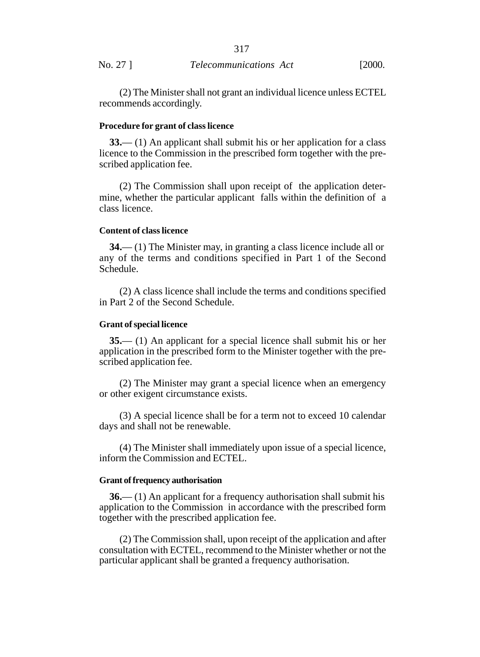|          | 317                           |        |
|----------|-------------------------------|--------|
| No. 27 ] | <i>Telecommunications Act</i> | [2000. |

(2) The Minister shall not grant an individual licence unless ECTEL recommends accordingly.

## **Procedure for grant of class licence**

**33.**— (1) An applicant shall submit his or her application for a class licence to the Commission in the prescribed form together with the prescribed application fee.

(2) The Commission shall upon receipt of the application determine, whether the particular applicant falls within the definition of a class licence.

#### **Content of class licence**

**34.**— (1) The Minister may, in granting a class licence include all or any of the terms and conditions specified in Part 1 of the Second Schedule.

(2) A class licence shall include the terms and conditions specified in Part 2 of the Second Schedule.

## **Grant of special licence**

**35.**— (1) An applicant for a special licence shall submit his or her application in the prescribed form to the Minister together with the prescribed application fee.

(2) The Minister may grant a special licence when an emergency or other exigent circumstance exists.

(3) A special licence shall be for a term not to exceed 10 calendar days and shall not be renewable.

(4) The Minister shall immediately upon issue of a special licence, inform the Commission and ECTEL.

## **Grant of frequency authorisation**

**36.**— (1) An applicant for a frequency authorisation shall submit his application to the Commission in accordance with the prescribed form together with the prescribed application fee.

(2) The Commission shall, upon receipt of the application and after consultation with ECTEL, recommend to the Minister whether or not the particular applicant shall be granted a frequency authorisation.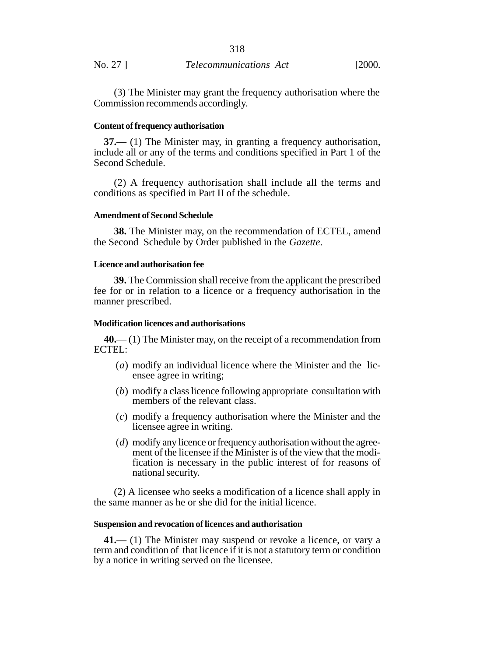|          | 318                           |        |
|----------|-------------------------------|--------|
| No. 27 ] | <i>Telecommunications Act</i> | [2000. |

(3) The Minister may grant the frequency authorisation where the Commission recommends accordingly.

#### **Content of frequency authorisation**

**37.**— (1) The Minister may, in granting a frequency authorisation, include all or any of the terms and conditions specified in Part 1 of the Second Schedule.

(2) A frequency authorisation shall include all the terms and conditions as specified in Part II of the schedule.

#### **Amendment of Second Schedule**

**38.** The Minister may, on the recommendation of ECTEL, amend the Second Schedule by Order published in the *Gazette*.

## **Licence and authorisation fee**

**39.** The Commission shall receive from the applicant the prescribed fee for or in relation to a licence or a frequency authorisation in the manner prescribed.

#### **Modification licences and authorisations**

**40.**— (1) The Minister may, on the receipt of a recommendation from ECTEL:

- (*a*) modify an individual licence where the Minister and the licensee agree in writing;
- (*b*) modify a class licence following appropriate consultation with members of the relevant class.
- (*c*) modify a frequency authorisation where the Minister and the licensee agree in writing.
- (*d*) modify any licence or frequency authorisation without the agreement of the licensee if the Minister is of the view that the modification is necessary in the public interest of for reasons of national security.

(2) A licensee who seeks a modification of a licence shall apply in the same manner as he or she did for the initial licence.

#### **Suspension and revocation of licences and authorisation**

**41.**— (1) The Minister may suspend or revoke a licence, or vary a term and condition of that licence if it is not a statutory term or condition by a notice in writing served on the licensee.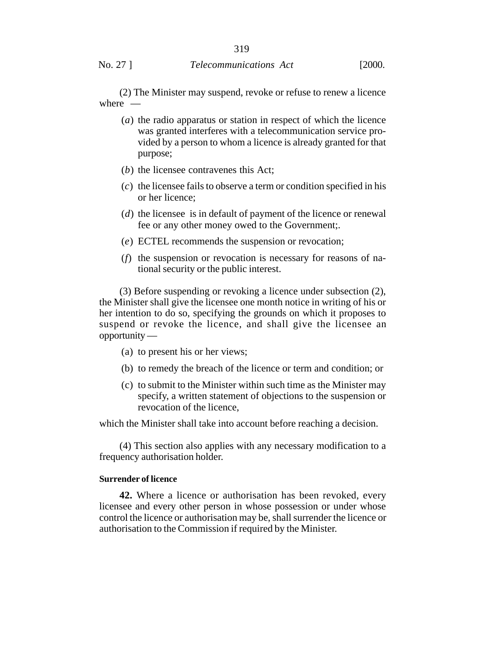(2) The Minister may suspend, revoke or refuse to renew a licence where —

- (*a*) the radio apparatus or station in respect of which the licence was granted interferes with a telecommunication service provided by a person to whom a licence is already granted for that purpose;
- (*b*) the licensee contravenes this Act;
- (*c*) the licensee fails to observe a term or condition specified in his or her licence;
- (*d*) the licensee is in default of payment of the licence or renewal fee or any other money owed to the Government;.
- (*e*) ECTEL recommends the suspension or revocation;
- (*f*) the suspension or revocation is necessary for reasons of national security or the public interest.

(3) Before suspending or revoking a licence under subsection (2), the Minister shall give the licensee one month notice in writing of his or her intention to do so, specifying the grounds on which it proposes to suspend or revoke the licence, and shall give the licensee an opportunity —

- (a) to present his or her views;
- (b) to remedy the breach of the licence or term and condition; or
- (c) to submit to the Minister within such time as the Minister may specify, a written statement of objections to the suspension or revocation of the licence,

which the Minister shall take into account before reaching a decision.

(4) This section also applies with any necessary modification to a frequency authorisation holder.

#### **Surrender of licence**

**42.** Where a licence or authorisation has been revoked, every licensee and every other person in whose possession or under whose control the licence or authorisation may be, shall surrender the licence or authorisation to the Commission if required by the Minister.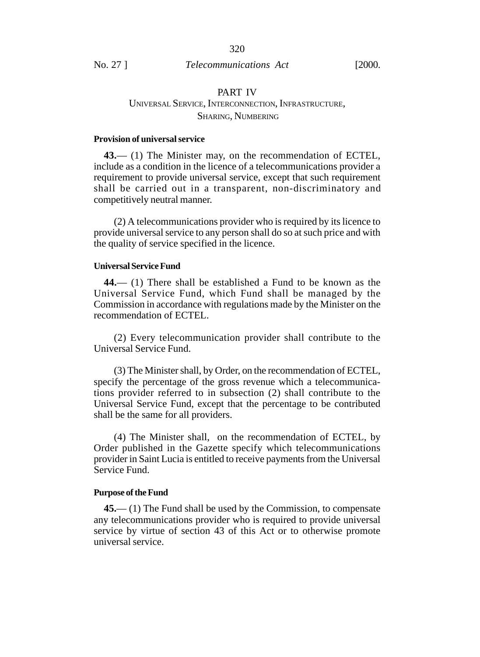# PART IV UNIVERSAL SERVICE, INTERCONNECTION, INFRASTRUCTURE, SHARING, NUMBERING

## **Provision of universal service**

**43.**— (1) The Minister may, on the recommendation of ECTEL, include as a condition in the licence of a telecommunications provider a requirement to provide universal service, except that such requirement shall be carried out in a transparent, non-discriminatory and competitively neutral manner.

(2) A telecommunications provider who is required by its licence to provide universal service to any person shall do so at such price and with the quality of service specified in the licence.

#### **Universal Service Fund**

**44.**— (1) There shall be established a Fund to be known as the Universal Service Fund, which Fund shall be managed by the Commission in accordance with regulations made by the Minister on the recommendation of ECTEL.

(2) Every telecommunication provider shall contribute to the Universal Service Fund.

(3) The Minister shall, by Order, on the recommendation of ECTEL, specify the percentage of the gross revenue which a telecommunications provider referred to in subsection (2) shall contribute to the Universal Service Fund, except that the percentage to be contributed shall be the same for all providers.

(4) The Minister shall, on the recommendation of ECTEL, by Order published in the Gazette specify which telecommunications provider in Saint Lucia is entitled to receive payments from the Universal Service Fund.

#### **Purpose of the Fund**

**45.**— (1) The Fund shall be used by the Commission, to compensate any telecommunications provider who is required to provide universal service by virtue of section 43 of this Act or to otherwise promote universal service.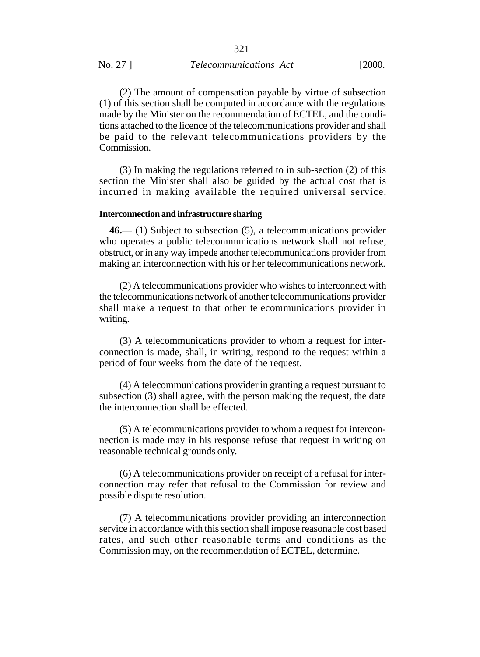(2) The amount of compensation payable by virtue of subsection (1) of this section shall be computed in accordance with the regulations made by the Minister on the recommendation of ECTEL, and the conditions attached to the licence of the telecommunications provider and shall be paid to the relevant telecommunications providers by the Commission.

(3) In making the regulations referred to in sub-section (2) of this section the Minister shall also be guided by the actual cost that is incurred in making available the required universal service.

#### **Interconnection and infrastructure sharing**

**46.**— (1) Subject to subsection (5), a telecommunications provider who operates a public telecommunications network shall not refuse, obstruct, or in any way impede another telecommunications provider from making an interconnection with his or her telecommunications network.

(2) A telecommunications provider who wishes to interconnect with the telecommunications network of another telecommunications provider shall make a request to that other telecommunications provider in writing.

(3) A telecommunications provider to whom a request for interconnection is made, shall, in writing, respond to the request within a period of four weeks from the date of the request.

(4) A telecommunications provider in granting a request pursuant to subsection (3) shall agree, with the person making the request, the date the interconnection shall be effected.

(5) A telecommunications provider to whom a request for interconnection is made may in his response refuse that request in writing on reasonable technical grounds only.

(6) A telecommunications provider on receipt of a refusal for interconnection may refer that refusal to the Commission for review and possible dispute resolution.

(7) A telecommunications provider providing an interconnection service in accordance with this section shall impose reasonable cost based rates, and such other reasonable terms and conditions as the Commission may, on the recommendation of ECTEL, determine.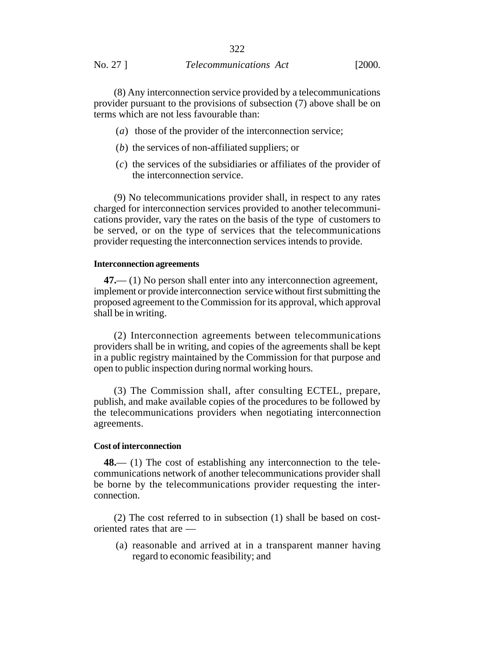## No. 27 ] *Telecommunications Act* [2000.

(8) Any interconnection service provided by a telecommunications provider pursuant to the provisions of subsection (7) above shall be on terms which are not less favourable than:

- (*a*) those of the provider of the interconnection service;
- (*b*) the services of non-affiliated suppliers; or
- (*c*) the services of the subsidiaries or affiliates of the provider of the interconnection service.

(9) No telecommunications provider shall, in respect to any rates charged for interconnection services provided to another telecommunications provider, vary the rates on the basis of the type of customers to be served, or on the type of services that the telecommunications provider requesting the interconnection services intends to provide.

#### **Interconnection agreements**

**47.**— (1) No person shall enter into any interconnection agreement, implement or provide interconnection service without first submitting the proposed agreement to the Commission for its approval, which approval shall be in writing.

(2) Interconnection agreements between telecommunications providers shall be in writing, and copies of the agreements shall be kept in a public registry maintained by the Commission for that purpose and open to public inspection during normal working hours.

(3) The Commission shall, after consulting ECTEL, prepare, publish, and make available copies of the procedures to be followed by the telecommunications providers when negotiating interconnection agreements.

#### **Cost of interconnection**

**48.**— (1) The cost of establishing any interconnection to the telecommunications network of another telecommunications provider shall be borne by the telecommunications provider requesting the interconnection.

(2) The cost referred to in subsection (1) shall be based on costoriented rates that are —

(a) reasonable and arrived at in a transparent manner having regard to economic feasibility; and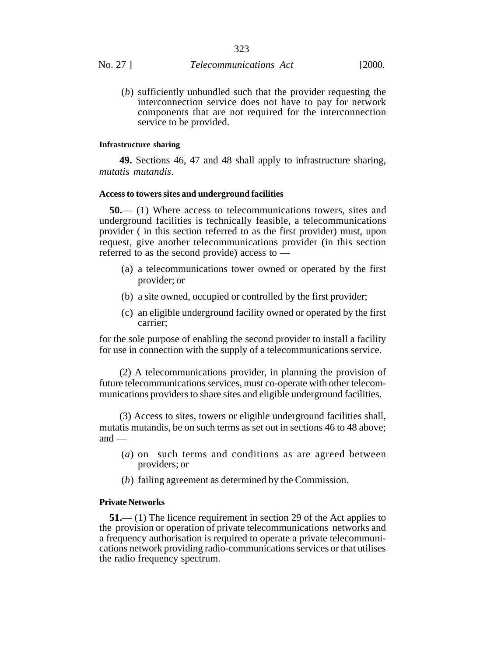(*b*) sufficiently unbundled such that the provider requesting the interconnection service does not have to pay for network components that are not required for the interconnection service to be provided.

#### **Infrastructure sharing**

**49.** Sections 46, 47 and 48 shall apply to infrastructure sharing, *mutatis mutandis*.

#### **Access to towers sites and underground facilities**

**50.**— (1) Where access to telecommunications towers, sites and underground facilities is technically feasible, a telecommunications provider ( in this section referred to as the first provider) must, upon request, give another telecommunications provider (in this section referred to as the second provide) access to —

- (a) a telecommunications tower owned or operated by the first provider; or
- (b) a site owned, occupied or controlled by the first provider;
- (c) an eligible underground facility owned or operated by the first carrier;

for the sole purpose of enabling the second provider to install a facility for use in connection with the supply of a telecommunications service.

(2) A telecommunications provider, in planning the provision of future telecommunications services, must co-operate with other telecommunications providers to share sites and eligible underground facilities.

(3) Access to sites, towers or eligible underground facilities shall, mutatis mutandis, be on such terms as set out in sections 46 to 48 above; and —

- (*a*) on such terms and conditions as are agreed between providers; or
- (*b*) failing agreement as determined by the Commission.

#### **Private Networks**

**51.**— (1) The licence requirement in section 29 of the Act applies to the provision or operation of private telecommunications networks and a frequency authorisation is required to operate a private telecommunications network providing radio-communications services or that utilises the radio frequency spectrum.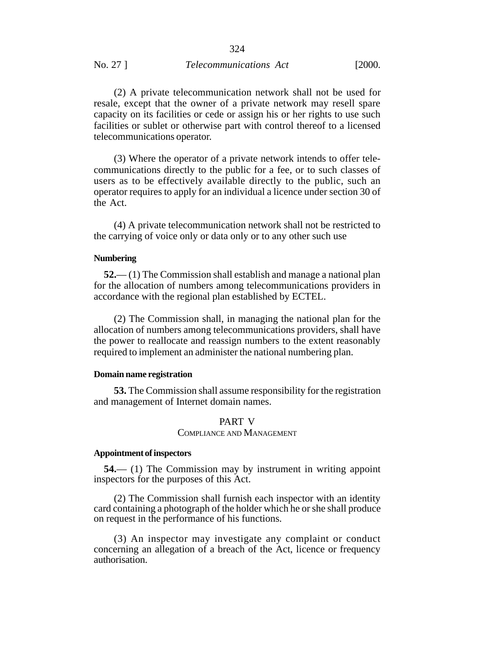#### No. 27 ] *Telecommunications Act* [2000.

(2) A private telecommunication network shall not be used for resale, except that the owner of a private network may resell spare capacity on its facilities or cede or assign his or her rights to use such facilities or sublet or otherwise part with control thereof to a licensed telecommunications operator.

(3) Where the operator of a private network intends to offer telecommunications directly to the public for a fee, or to such classes of users as to be effectively available directly to the public, such an operator requires to apply for an individual a licence under section 30 of the Act.

(4) A private telecommunication network shall not be restricted to the carrying of voice only or data only or to any other such use

#### **Numbering**

**52.**— (1) The Commission shall establish and manage a national plan for the allocation of numbers among telecommunications providers in accordance with the regional plan established by ECTEL.

(2) The Commission shall, in managing the national plan for the allocation of numbers among telecommunications providers, shall have the power to reallocate and reassign numbers to the extent reasonably required to implement an administer the national numbering plan.

#### **Domain name registration**

**53.** The Commission shall assume responsibility for the registration and management of Internet domain names.

## PART V

## COMPLIANCE AND MANAGEMENT

#### **Appointment of inspectors**

**54.**— (1) The Commission may by instrument in writing appoint inspectors for the purposes of this Act.

(2) The Commission shall furnish each inspector with an identity card containing a photograph of the holder which he or she shall produce on request in the performance of his functions.

(3) An inspector may investigate any complaint or conduct concerning an allegation of a breach of the Act, licence or frequency authorisation.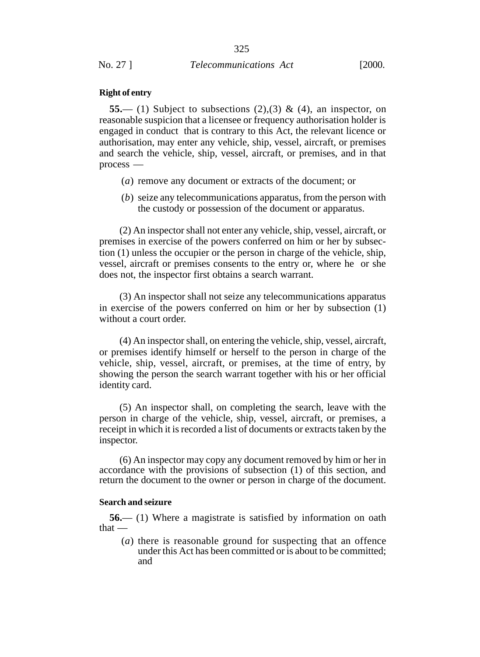#### **Right of entry**

**55.**— (1) Subject to subsections  $(2),(3)$  &  $(4)$ , an inspector, on reasonable suspicion that a licensee or frequency authorisation holder is engaged in conduct that is contrary to this Act, the relevant licence or authorisation, may enter any vehicle, ship, vessel, aircraft, or premises and search the vehicle, ship, vessel, aircraft, or premises, and in that process —

- (*a*) remove any document or extracts of the document; or
- (*b*) seize any telecommunications apparatus, from the person with the custody or possession of the document or apparatus.

(2) An inspector shall not enter any vehicle, ship, vessel, aircraft, or premises in exercise of the powers conferred on him or her by subsection (1) unless the occupier or the person in charge of the vehicle, ship, vessel, aircraft or premises consents to the entry or, where he or she does not, the inspector first obtains a search warrant.

(3) An inspector shall not seize any telecommunications apparatus in exercise of the powers conferred on him or her by subsection (1) without a court order.

(4) An inspector shall, on entering the vehicle, ship, vessel, aircraft, or premises identify himself or herself to the person in charge of the vehicle, ship, vessel, aircraft, or premises, at the time of entry, by showing the person the search warrant together with his or her official identity card.

(5) An inspector shall, on completing the search, leave with the person in charge of the vehicle, ship, vessel, aircraft, or premises, a receipt in which it is recorded a list of documents or extracts taken by the inspector.

(6) An inspector may copy any document removed by him or her in accordance with the provisions of subsection (1) of this section, and return the document to the owner or person in charge of the document.

#### **Search and seizure**

**56.**— (1) Where a magistrate is satisfied by information on oath that —

(*a*) there is reasonable ground for suspecting that an offence under this Act has been committed or is about to be committed; and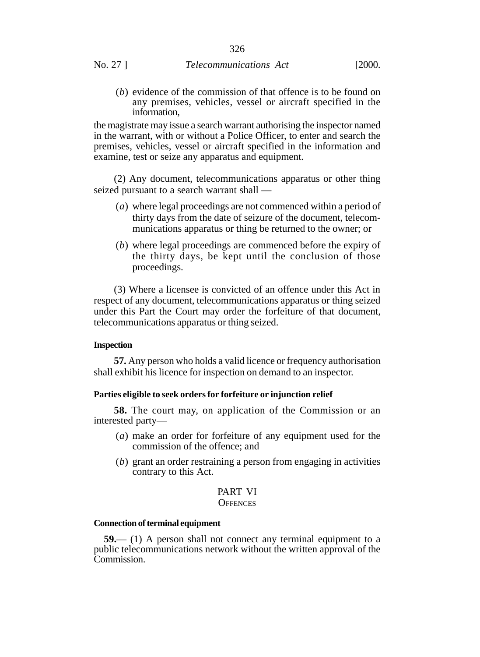(*b*) evidence of the commission of that offence is to be found on any premises, vehicles, vessel or aircraft specified in the information,

the magistrate may issue a search warrant authorising the inspector named in the warrant, with or without a Police Officer, to enter and search the premises, vehicles, vessel or aircraft specified in the information and examine, test or seize any apparatus and equipment.

(2) Any document, telecommunications apparatus or other thing seized pursuant to a search warrant shall —

- (*a*) where legal proceedings are not commenced within a period of thirty days from the date of seizure of the document, telecommunications apparatus or thing be returned to the owner; or
- (*b*) where legal proceedings are commenced before the expiry of the thirty days, be kept until the conclusion of those proceedings.

(3) Where a licensee is convicted of an offence under this Act in respect of any document, telecommunications apparatus or thing seized under this Part the Court may order the forfeiture of that document, telecommunications apparatus or thing seized.

#### **Inspection**

**57.** Any person who holds a valid licence or frequency authorisation shall exhibit his licence for inspection on demand to an inspector.

#### **Parties eligible to seek orders for forfeiture or injunction relief**

**58.** The court may, on application of the Commission or an interested party—

- (*a*) make an order for forfeiture of any equipment used for the commission of the offence; and
- (*b*) grant an order restraining a person from engaging in activities contrary to this Act.

## PART VI

## **OFFENCES**

## **Connection of terminal equipment**

**59.**— (1) A person shall not connect any terminal equipment to a public telecommunications network without the written approval of the Commission.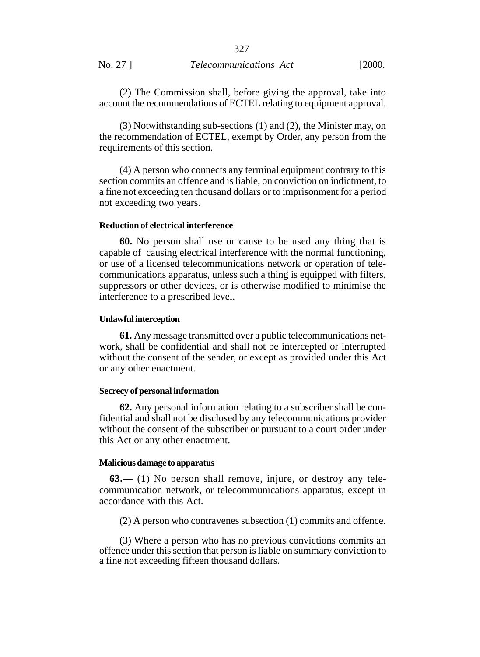(2) The Commission shall, before giving the approval, take into account the recommendations of ECTEL relating to equipment approval.

327

(3) Notwithstanding sub-sections (1) and (2), the Minister may, on the recommendation of ECTEL, exempt by Order, any person from the requirements of this section.

(4) A person who connects any terminal equipment contrary to this section commits an offence and is liable, on conviction on indictment, to a fine not exceeding ten thousand dollars or to imprisonment for a period not exceeding two years.

#### **Reduction of electrical interference**

**60.** No person shall use or cause to be used any thing that is capable of causing electrical interference with the normal functioning, or use of a licensed telecommunications network or operation of telecommunications apparatus, unless such a thing is equipped with filters, suppressors or other devices, or is otherwise modified to minimise the interference to a prescribed level.

#### **Unlawful interception**

**61.** Any message transmitted over a public telecommunications network, shall be confidential and shall not be intercepted or interrupted without the consent of the sender, or except as provided under this Act or any other enactment.

#### **Secrecy of personal information**

**62.** Any personal information relating to a subscriber shall be confidential and shall not be disclosed by any telecommunications provider without the consent of the subscriber or pursuant to a court order under this Act or any other enactment.

## **Malicious damage to apparatus**

**63.**— (1) No person shall remove, injure, or destroy any telecommunication network, or telecommunications apparatus, except in accordance with this Act.

(2) A person who contravenes subsection (1) commits and offence.

(3) Where a person who has no previous convictions commits an offence under this section that person is liable on summary conviction to a fine not exceeding fifteen thousand dollars.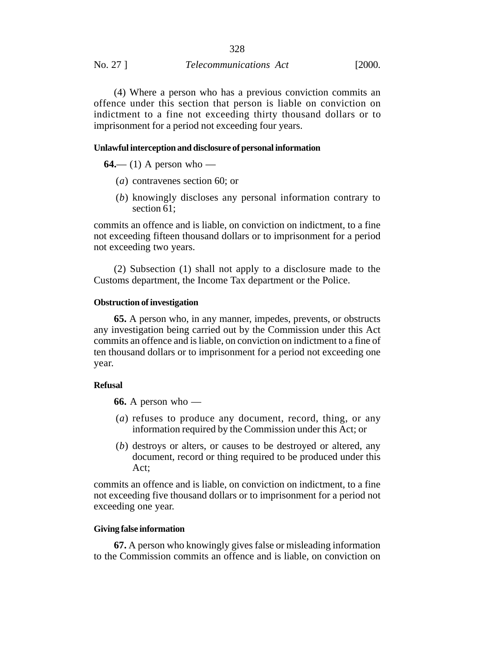| No. 27 ] | <i>Telecommunications Act</i> | [2000. |
|----------|-------------------------------|--------|
|          |                               |        |

(4) Where a person who has a previous conviction commits an offence under this section that person is liable on conviction on indictment to a fine not exceeding thirty thousand dollars or to imprisonment for a period not exceeding four years.

328

## **Unlawful interception and disclosure of personal information**

**64.**— (1) A person who —

- (*a*) contravenes section 60; or
- (*b*) knowingly discloses any personal information contrary to section 61;

commits an offence and is liable, on conviction on indictment, to a fine not exceeding fifteen thousand dollars or to imprisonment for a period not exceeding two years.

(2) Subsection (1) shall not apply to a disclosure made to the Customs department, the Income Tax department or the Police.

### **Obstruction of investigation**

**65.** A person who, in any manner, impedes, prevents, or obstructs any investigation being carried out by the Commission under this Act commits an offence and is liable, on conviction on indictment to a fine of ten thousand dollars or to imprisonment for a period not exceeding one year.

#### **Refusal**

**66.** A person who —

- (*a*) refuses to produce any document, record, thing, or any information required by the Commission under this Act; or
- (*b*) destroys or alters, or causes to be destroyed or altered, any document, record or thing required to be produced under this Act;

commits an offence and is liable, on conviction on indictment, to a fine not exceeding five thousand dollars or to imprisonment for a period not exceeding one year.

## **Giving false information**

**67.** A person who knowingly gives false or misleading information to the Commission commits an offence and is liable, on conviction on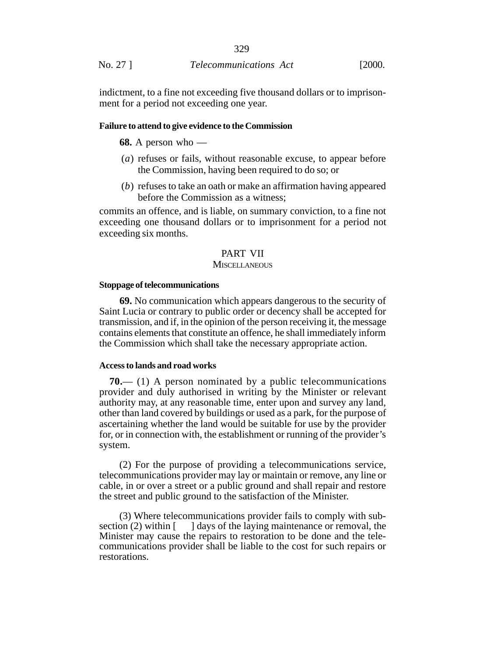indictment, to a fine not exceeding five thousand dollars or to imprisonment for a period not exceeding one year.

#### **Failure to attend to give evidence to the Commission**

**68.** A person who —

- (*a*) refuses or fails, without reasonable excuse, to appear before the Commission, having been required to do so; or
- (*b*) refuses to take an oath or make an affirmation having appeared before the Commission as a witness;

commits an offence, and is liable, on summary conviction, to a fine not exceeding one thousand dollars or to imprisonment for a period not exceeding six months.

## PART VII

#### **MISCELLANEOUS**

#### **Stoppage of telecommunications**

**69.** No communication which appears dangerous to the security of Saint Lucia or contrary to public order or decency shall be accepted for transmission, and if, in the opinion of the person receiving it, the message contains elements that constitute an offence, he shall immediately inform the Commission which shall take the necessary appropriate action.

#### **Access to lands and road works**

**70.**— (1) A person nominated by a public telecommunications provider and duly authorised in writing by the Minister or relevant authority may, at any reasonable time, enter upon and survey any land, other than land covered by buildings or used as a park, for the purpose of ascertaining whether the land would be suitable for use by the provider for, or in connection with, the establishment or running of the provider's system.

(2) For the purpose of providing a telecommunications service, telecommunications provider may lay or maintain or remove, any line or cable, in or over a street or a public ground and shall repair and restore the street and public ground to the satisfaction of the Minister.

(3) Where telecommunications provider fails to comply with subsection (2) within  $\lceil \cdot \rceil$  days of the laying maintenance or removal, the Minister may cause the repairs to restoration to be done and the telecommunications provider shall be liable to the cost for such repairs or restorations.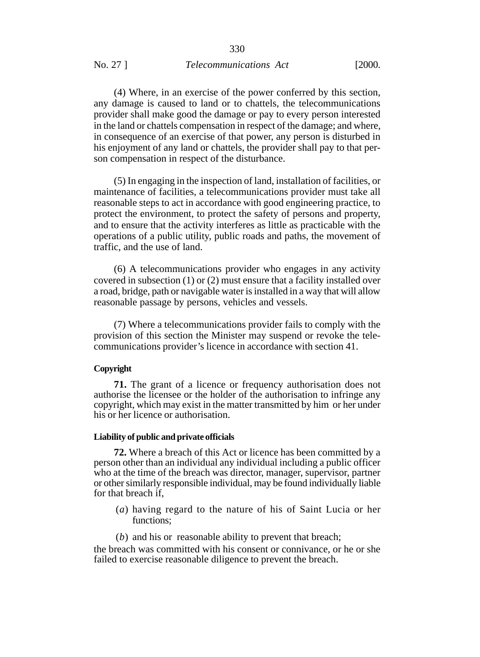## No. 27 ] *Telecommunications Act* [2000.

(4) Where, in an exercise of the power conferred by this section, any damage is caused to land or to chattels, the telecommunications provider shall make good the damage or pay to every person interested in the land or chattels compensation in respect of the damage; and where, in consequence of an exercise of that power, any person is disturbed in his enjoyment of any land or chattels, the provider shall pay to that person compensation in respect of the disturbance.

(5) In engaging in the inspection of land, installation of facilities, or maintenance of facilities, a telecommunications provider must take all reasonable steps to act in accordance with good engineering practice, to protect the environment, to protect the safety of persons and property, and to ensure that the activity interferes as little as practicable with the operations of a public utility, public roads and paths, the movement of traffic, and the use of land.

(6) A telecommunications provider who engages in any activity covered in subsection (1) or (2) must ensure that a facility installed over a road, bridge, path or navigable water is installed in a way that will allow reasonable passage by persons, vehicles and vessels.

(7) Where a telecommunications provider fails to comply with the provision of this section the Minister may suspend or revoke the telecommunications provider's licence in accordance with section 41.

### **Copyright**

**71.** The grant of a licence or frequency authorisation does not authorise the licensee or the holder of the authorisation to infringe any copyright, which may exist in the matter transmitted by him or her under his or her licence or authorisation.

#### **Liability of public and private officials**

**72.** Where a breach of this Act or licence has been committed by a person other than an individual any individual including a public officer who at the time of the breach was director, manager, supervisor, partner or other similarly responsible individual, may be found individually liable for that breach if,

- (*a*) having regard to the nature of his of Saint Lucia or her functions;
- (*b*) and his or reasonable ability to prevent that breach;

the breach was committed with his consent or connivance, or he or she failed to exercise reasonable diligence to prevent the breach.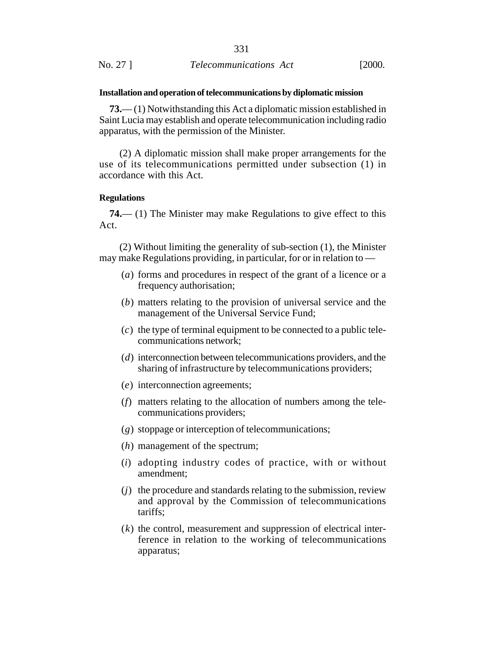|          | 331                           |        |
|----------|-------------------------------|--------|
| No. 27 ] | <i>Telecommunications Act</i> | [2000. |

#### **Installation and operation of telecommunications by diplomatic mission**

**73.**— (1) Notwithstanding this Act a diplomatic mission established in Saint Lucia may establish and operate telecommunication including radio apparatus, with the permission of the Minister.

(2) A diplomatic mission shall make proper arrangements for the use of its telecommunications permitted under subsection (1) in accordance with this Act.

### **Regulations**

**74.**— (1) The Minister may make Regulations to give effect to this Act.

(2) Without limiting the generality of sub-section (1), the Minister may make Regulations providing, in particular, for or in relation to —

- (*a*) forms and procedures in respect of the grant of a licence or a frequency authorisation;
- (*b*) matters relating to the provision of universal service and the management of the Universal Service Fund;
- (*c*) the type of terminal equipment to be connected to a public telecommunications network;
- (*d*) interconnection between telecommunications providers, and the sharing of infrastructure by telecommunications providers;
- (*e*) interconnection agreements;
- (*f*) matters relating to the allocation of numbers among the telecommunications providers;
- (*g*) stoppage or interception of telecommunications;
- (*h*) management of the spectrum;
- (*i*) adopting industry codes of practice, with or without amendment;
- (*j*) the procedure and standards relating to the submission, review and approval by the Commission of telecommunications tariffs;
- (*k*) the control, measurement and suppression of electrical interference in relation to the working of telecommunications apparatus;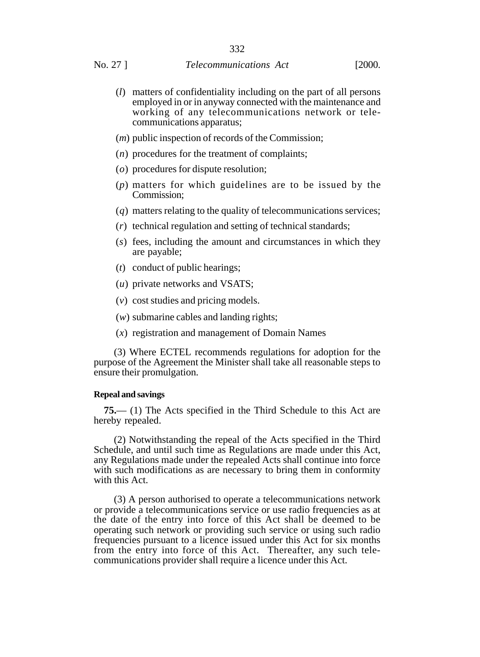- (*l*) matters of confidentiality including on the part of all persons employed in or in anyway connected with the maintenance and working of any telecommunications network or telecommunications apparatus;
- (*m*) public inspection of records of the Commission;
- (*n*) procedures for the treatment of complaints;
- (*o*) procedures for dispute resolution;
- (*p*) matters for which guidelines are to be issued by the Commission;
- (*q*) matters relating to the quality of telecommunications services;
- (*r*) technical regulation and setting of technical standards;
- (*s*) fees, including the amount and circumstances in which they are payable;
- (*t*) conduct of public hearings;
- (*u*) private networks and VSATS;
- (*v*) cost studies and pricing models.
- (*w*) submarine cables and landing rights;
- (*x*) registration and management of Domain Names

(3) Where ECTEL recommends regulations for adoption for the purpose of the Agreement the Minister shall take all reasonable steps to ensure their promulgation.

#### **Repeal and savings**

**75.**— (1) The Acts specified in the Third Schedule to this Act are hereby repealed.

(2) Notwithstanding the repeal of the Acts specified in the Third Schedule, and until such time as Regulations are made under this Act, any Regulations made under the repealed Acts shall continue into force with such modifications as are necessary to bring them in conformity with this Act.

(3) A person authorised to operate a telecommunications network or provide a telecommunications service or use radio frequencies as at the date of the entry into force of this Act shall be deemed to be operating such network or providing such service or using such radio frequencies pursuant to a licence issued under this Act for six months from the entry into force of this Act. Thereafter, any such telecommunications provider shall require a licence under this Act.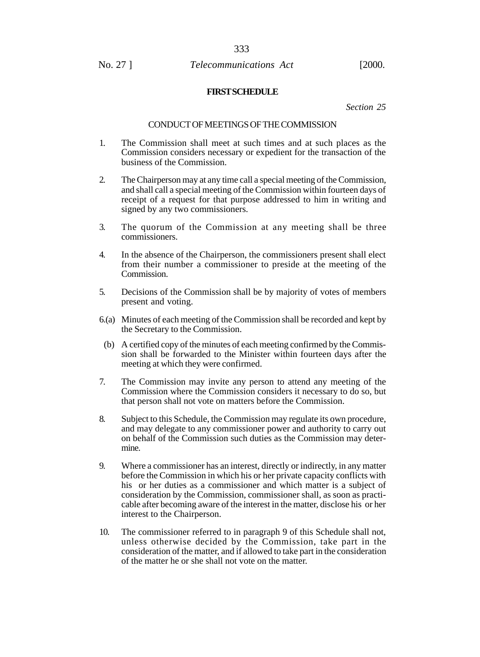#### **FIRST SCHEDULE**

*Section 25*

#### CONDUCT OF MEETINGS OF THE COMMISSION

- 1. The Commission shall meet at such times and at such places as the Commission considers necessary or expedient for the transaction of the business of the Commission.
- 2. The Chairperson may at any time call a special meeting of the Commission, and shall call a special meeting of the Commission within fourteen days of receipt of a request for that purpose addressed to him in writing and signed by any two commissioners.
- 3. The quorum of the Commission at any meeting shall be three commissioners.
- 4. In the absence of the Chairperson, the commissioners present shall elect from their number a commissioner to preside at the meeting of the Commission.
- 5. Decisions of the Commission shall be by majority of votes of members present and voting.
- 6.(a) Minutes of each meeting of the Commission shall be recorded and kept by the Secretary to the Commission.
- (b) A certified copy of the minutes of each meeting confirmed by the Commission shall be forwarded to the Minister within fourteen days after the meeting at which they were confirmed.
- 7. The Commission may invite any person to attend any meeting of the Commission where the Commission considers it necessary to do so, but that person shall not vote on matters before the Commission.
- 8. Subject to this Schedule, the Commission may regulate its own procedure, and may delegate to any commissioner power and authority to carry out on behalf of the Commission such duties as the Commission may determine.
- 9. Where a commissioner has an interest, directly or indirectly, in any matter before the Commission in which his or her private capacity conflicts with his or her duties as a commissioner and which matter is a subject of consideration by the Commission, commissioner shall, as soon as practicable after becoming aware of the interest in the matter, disclose his or her interest to the Chairperson.
- 10. The commissioner referred to in paragraph 9 of this Schedule shall not, unless otherwise decided by the Commission, take part in the consideration of the matter, and if allowed to take part in the consideration of the matter he or she shall not vote on the matter.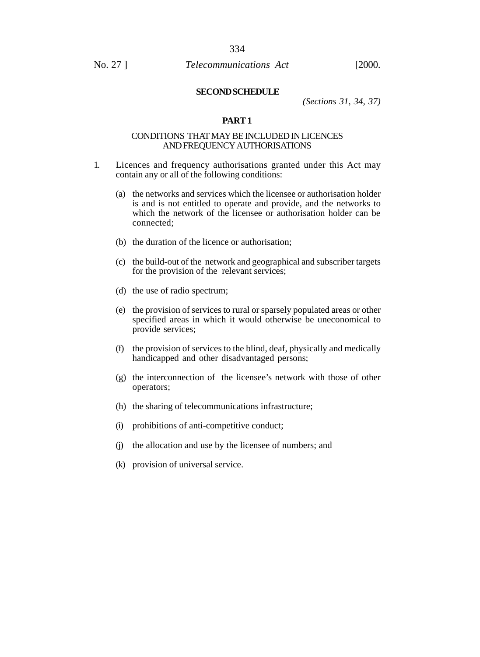#### **SECOND SCHEDULE**

*(Sections 31, 34, 37)*

## **PART 1**

## CONDITIONS THAT MAY BE INCLUDED IN LICENCES AND FREQUENCY AUTHORISATIONS

- 1. Licences and frequency authorisations granted under this Act may contain any or all of the following conditions:
	- (a) the networks and services which the licensee or authorisation holder is and is not entitled to operate and provide, and the networks to which the network of the licensee or authorisation holder can be connected;
	- (b) the duration of the licence or authorisation;
	- (c) the build-out of the network and geographical and subscriber targets for the provision of the relevant services;
	- (d) the use of radio spectrum;
	- (e) the provision of services to rural or sparsely populated areas or other specified areas in which it would otherwise be uneconomical to provide services;
	- (f) the provision of services to the blind, deaf, physically and medically handicapped and other disadvantaged persons;
	- (g) the interconnection of the licensee's network with those of other operators;
	- (h) the sharing of telecommunications infrastructure;
	- (i) prohibitions of anti-competitive conduct;
	- (j) the allocation and use by the licensee of numbers; and
	- (k) provision of universal service.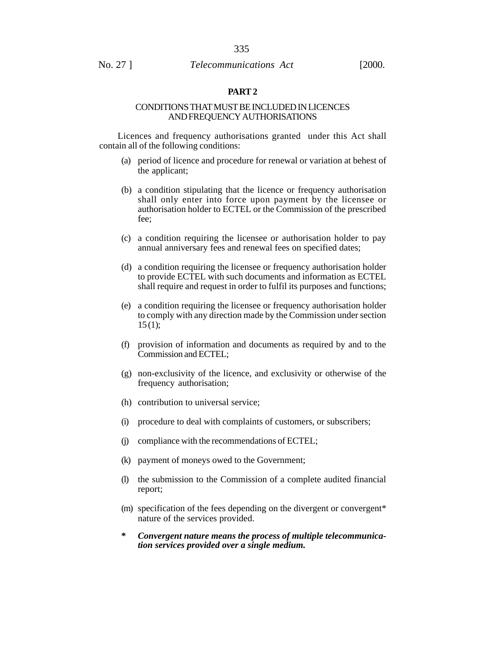## **PART 2**

#### CONDITIONS THAT MUST BE INCLUDED IN LICENCES AND FREQUENCY AUTHORISATIONS

Licences and frequency authorisations granted under this Act shall contain all of the following conditions:

- (a) period of licence and procedure for renewal or variation at behest of the applicant;
- (b) a condition stipulating that the licence or frequency authorisation shall only enter into force upon payment by the licensee or authorisation holder to ECTEL or the Commission of the prescribed fee;
- (c) a condition requiring the licensee or authorisation holder to pay annual anniversary fees and renewal fees on specified dates;
- (d) a condition requiring the licensee or frequency authorisation holder to provide ECTEL with such documents and information as ECTEL shall require and request in order to fulfil its purposes and functions;
- (e) a condition requiring the licensee or frequency authorisation holder to comply with any direction made by the Commission under section  $15(1)$ ;
- (f) provision of information and documents as required by and to the Commission and ECTEL;
- (g) non-exclusivity of the licence, and exclusivity or otherwise of the frequency authorisation;
- (h) contribution to universal service;
- (i) procedure to deal with complaints of customers, or subscribers;
- (j) compliance with the recommendations of ECTEL;
- (k) payment of moneys owed to the Government;
- (l) the submission to the Commission of a complete audited financial report;
- (m) specification of the fees depending on the divergent or convergent\* nature of the services provided.
- **\*** *Convergent nature means the process of multiple telecommunication services provided over a single medium.*